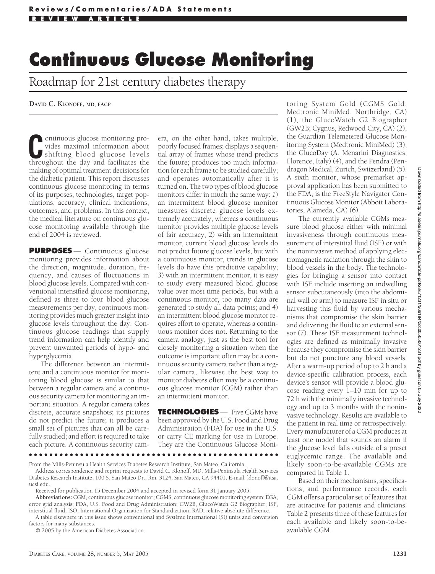## **Continuous Glucose Monitoring**

Roadmap for 21st century diabetes therapy

**DAVID C. KLONOFF, MD, FACP**

**C**ontinuous glucose monitoring provides maximal information about shifting blood glucose levels<br>throughout the day and facilitates the vides maximal information about throughout the day and facilitates the making of optimal treatment decisions for the diabetic patient. This report discusses continuous glucose monitoring in terms of its purposes, technologies, target populations, accuracy, clinical indications, outcomes, and problems. In this context, the medical literature on continuous glucose monitoring available through the end of 2004 is reviewed.

**PURPOSES** — Continuous glucose monitoring provides information about the direction, magnitude, duration, frequency, and causes of fluctuations in blood glucose levels. Compared with conventional intensified glucose monitoring, defined as three to four blood glucose measurements per day, continuous monitoring provides much greater insight into glucose levels throughout the day. Continuous glucose readings that supply trend information can help identify and prevent unwanted periods of hypo- and hyperglycemia.

The difference between an intermittent and a continuous monitor for monitoring blood glucose is similar to that between a regular camera and a continuous security camera for monitoring an important situation. A regular camera takes discrete, accurate snapshots; its pictures do not predict the future; it produces a small set of pictures that can all be carefully studied; and effort is required to take each picture. A continuous security camera, on the other hand, takes multiple, poorly focused frames; displays a sequential array of frames whose trend predicts the future; produces too much information for each frame to be studied carefully; and operates automatically after it is turned on. The two types of blood glucose monitors differ in much the same way: *1*) an intermittent blood glucose monitor measures discrete glucose levels extremely accurately, whereas a continuous monitor provides multiple glucose levels of fair accuracy; *2*) with an intermittent monitor, current blood glucose levels do not predict future glucose levels, but with a continuous monitor, trends in glucose levels do have this predictive capability; *3*) with an intermittent monitor, it is easy to study every measured blood glucose value over most time periods, but with a continuous monitor, too many data are generated to study all data points; and *4*) an intermittent blood glucose monitor requires effort to operate, whereas a continuous monitor does not. Returning to the camera analogy, just as the best tool for closely monitoring a situation when the outcome is important often may be a continuous security camera rather than a regular camera, likewise the best way to monitor diabetes often may be a continuous glucose monitor (CGM) rather than an intermittent monitor.

**TECHNOLOGIES** — Five CGMs have been approved by the U.S. Food and Drug Administration (FDA) for use in the U.S. or carry CE marking for use in Europe. They are the Continuous Glucose Moni-

From the Mills-Peninsula Health Services Diabetes Research Institute, San Mateo, California.

Address correspondence and reprint requests to David C. Klonoff, MD, Mills-Peninsula Health Services Diabetes Research Institute, 100 S. San Mateo Dr., Rm. 3124, San Mateo, CA 94401. E-mail: klonoff@itsa. ucsf.edu.

●●●●●●●●●●●●●●●●●●●●●●●●●●●●●●●●●●●●●●●●●●●●●●●●●

Received for publication 15 December 2004 and accepted in revised form 31 January 2005.

**Abbreviations:** CGM, continuous glucose monitor; CGMS, continuous glucose monitoring system; EGA, error grid analysis; FDA, U.S. Food and Drug Administration; GW2B, GlucoWatch G2 Biographer; ISF, interstitial fluid; ISO, International Organization for Standardization; RAD, relative absolute difference.

A table elsewhere in this issue shows conventional and Système International (SI) units and conversion factors for many substances.

© 2005 by the American Diabetes Association.

toring System Gold (CGMS Gold; Medtronic MiniMed, Northridge, CA) (1), the GlucoWatch G2 Biographer (GW2B; Cygnus, Redwood City, CA) (2), the Guardian Telemetered Glucose Monitoring System (Medtronic MiniMed) (3), the GlucoDay (A. Menarini Diagnostics, Florence, Italy) (4), and the Pendra (Pendragon Medical, Zurich, Switzerland) (5). A sixth monitor, whose premarket approval application has been submitted to the FDA, is the FreeStyle Navigator Continuous Glucose Monitor (Abbott Laboratories, Alameda, CA) (6).

The currently available CGMs measure blood glucose either with minimal invasiveness through continuous measurement of interstitial fluid (ISF) or with the noninvasive method of applying electromagnetic radiation through the skin to blood vessels in the body. The technologies for bringing a sensor into contact with ISF include inserting an indwelling sensor subcutaneously (into the abdominal wall or arm) to measure ISF in situ or harvesting this fluid by various mechanisms that compromise the skin barrier and delivering the fluid to an external sensor (7). These ISF measurement technologies are defined as minimally invasive because they compromise the skin barrier but do not puncture any blood vessels. After a warm-up period of up to 2 h and a device-specific calibration process, each device's sensor will provide a blood glucose reading every 1–10 min for up to 72 h with the minimally invasive technology and up to 3 months with the noninvasive technology. Results are available to the patient in real time or retrospectively. Every manufacturer of a CGM produces at least one model that sounds an alarm if the glucose level falls outside of a preset euglycemic range. The available and likely soon-to-be-available CGMs are compared in Table 1.

Based on their mechanisms, specifications, and performance records, each CGM offers a particular set of features that are attractive for patients and clinicians. Table 2 presents three of these features for each available and likely soon-to-beavailable CGM.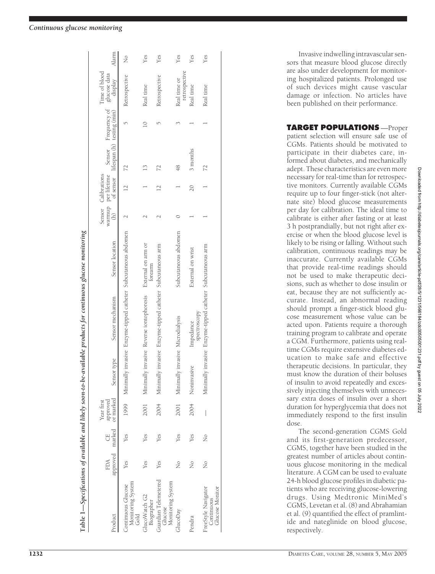| roduct                                                      | approved<br>FDA | marked | or marked<br>approved<br>Year first | Sensor type                      | Sensor mechanism                                      | Sensor location                                                     | Sensor Calibrations |               | Time of blood<br>warmup per lifetime Sensor Frequency of glucose data<br>(h) of sensor lifespan (h) testing (min) display | Alarm         |
|-------------------------------------------------------------|-----------------|--------|-------------------------------------|----------------------------------|-------------------------------------------------------|---------------------------------------------------------------------|---------------------|---------------|---------------------------------------------------------------------------------------------------------------------------|---------------|
| Monitoring System<br>Gold<br>Continuous Glucose             | Yes             | Yes    |                                     |                                  |                                                       | 1999 Minimally invasive Enzyme-tipped catheter Subcutaneous abdomen |                     |               | Retrospective                                                                                                             | $\frac{1}{2}$ |
| GlucoWatch G2<br>Biographer                                 | Yes             | Yes    | 2001                                |                                  | Minimally invasive Reverse iontophoresis              | External on arm or<br>forearm                                       |                     | $\frac{3}{2}$ | Real time                                                                                                                 | Yes           |
| Guardian Telemetered<br>Monitoring System<br>Glucose        | Yes             | Yes    | 2004                                | Minim                            | ally invasive Enzyme-tipped catheter Subcutaneous arm |                                                                     |                     |               | Retrospective                                                                                                             | Yes           |
| GlucoDay                                                    | ž               | Yes    | 2001                                | Minimally invasive Microdialysis |                                                       | Subcutaneous abdomen                                                |                     | 48            | retrospective<br>Real time or                                                                                             | Yes           |
| endra                                                       | ż               | Yes    | 2004                                | Noninvasive                      | spectroscopy<br>Impedance                             | External on wrist                                                   | $\overline{20}$     | 3 months      | Real time                                                                                                                 | Yes           |
| FreeStyle Navigator<br><b>Glucose Monitor</b><br>Continuous | ż               | ż      |                                     | Minim                            | ally invasive Enzyme-tipped catheter Subcutaneous arm |                                                                     |                     |               | Real time                                                                                                                 | Yes           |

Invasive indwelling intravascular sensors that measure blood glucose directly are also under development for monitoring hospitalized patients. Prolonged use of such devices might cause vascular damage or infection. No articles have been published on their performance.

**TARGET POPULATIONS** —Proper patient selection will ensure safe use of CGMs. Patients should be motivated to participate in their diabetes care, informed about diabetes, and mechanically adept. These characteristics are even more necessary for real-time than for retrospective monitors. Currently available CGMs require up to four finger-stick (not alternate site) blood glucose measurements per day for calibration. The ideal time to calibrate is either after fasting or at least 3 h postprandially, but not right after exercise or when the blood glucose level is likely to be rising or falling. Without such calibration, continuous readings may be inaccurate. Currently available CGMs that provide real-time readings should not be used to make therapeutic decisions, such as whether to dose insulin or eat, because they are not sufficiently accurate. Instead, an abnormal reading should prompt a finger-stick blood glucose measurement whose value can be acted upon. Patients require a thorough training program to calibrate and operate a CGM. Furthermore, patients using realtime CGMs require extensive diabetes education to make safe and effective therapeutic decisions. In particular, they must know the duration of their boluses of insulin to avoid repeatedly and excessively injecting themselves with unnecessary extra doses of insulin over a short duration for hyperglycemia that does not immediately respond to the first insulin dose.

The second-generation CGMS Gold and its first-generation predecessor, CGMS, together have been studied in the greatest number of articles about continuous glucose monitoring in the medical literature. A CGM can be used to evaluate 24-h blood glucose profiles in diabetic patients who are receiving glucose-lowering drugs. Using Medtronic MiniMed's CGMS, Levetan et al. (8) and Abrahamian et al. (9) quantified the effect of pramlintide and nateglinide on blood glucose, respectively.

**Table 1—**

Specifications of available and likely soon-to-be-available products for continuous glucose monitoring

Table 1—Specifications of available and likely soon-to-be-available products for continuous glucose monitoring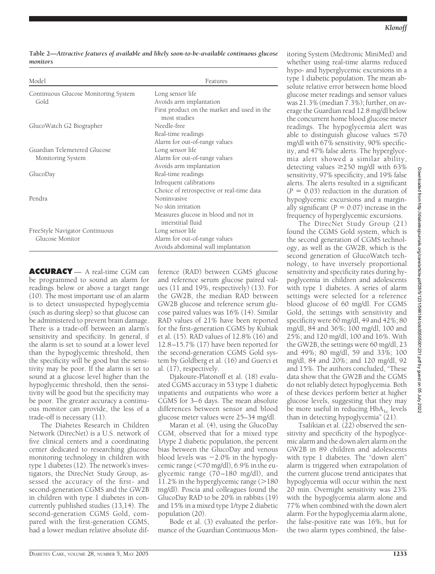**Table 2—***Attractive features of available and likely soon-to-be-available continuous glucose monitors*

| Model                                | Features                                                    |
|--------------------------------------|-------------------------------------------------------------|
| Continuous Glucose Monitoring System | Long sensor life                                            |
| Gold                                 | Avoids arm implantation                                     |
|                                      | First product on the market and used in the<br>most studies |
| GlucoWatch G2 Biographer             | Needle-free                                                 |
|                                      | Real-time readings                                          |
|                                      | Alarm for out-of-range values                               |
| Guardian Telemetered Glucose         | Long sensor life                                            |
| Monitoring System                    | Alarm for out-of-range values                               |
|                                      | Avoids arm implantation                                     |
| GlucoDay                             | Real-time readings                                          |
|                                      | Infrequent calibrations                                     |
|                                      | Choice of retrospective or real-time data                   |
| Pendra                               | <b>Noninvasive</b>                                          |
|                                      | No skin irritation                                          |
|                                      | Measures glucose in blood and not in                        |
|                                      | interstitial fluid                                          |
| FreeStyle Navigator Continuous       | Long sensor life                                            |
| Glucose Monitor                      | Alarm for out-of-range values                               |
|                                      | Avoids abdominal wall implantation                          |

**ACCURACY** — A real-time CGM can be programmed to sound an alarm for readings below or above a target range (10). The most important use of an alarm is to detect unsuspected hypoglycemia (such as during sleep) so that glucose can be administered to prevent brain damage. There is a trade-off between an alarm's sensitivity and specificity. In general, if the alarm is set to sound at a lower level than the hypoglycemic threshold, then the specificity will be good but the sensitivity may be poor. If the alarm is set to sound at a glucose level higher than the hypoglycemic threshold, then the sensitivity will be good but the specificity may be poor. The greater accuracy a continuous monitor can provide, the less of a trade-off is necessary (11).

The Diabetes Research in Children Network (DirecNet) is a U.S. network of five clinical centers and a coordinating center dedicated to researching glucose monitoring technology in children with type 1 diabetes (12). The network's investigators, the DirecNet Study Group, assessed the accuracy of the first- and second-generation CGMS and the GW2B in children with type 1 diabetes in concurrently published studies (13,14). The second-generation CGMS Gold, compared with the first-generation CGMS, had a lower median relative absolute dif-

ference (RAD) between CGMS glucose and reference serum glucose paired values (11 and 19%, respectively) (13). For the GW2B, the median RAD between GW2B glucose and reference serum glucose paired values was 16% (14). Similar RAD values of 21% have been reported for the first-generation CGMS by Kubiak et al. (15). RAD values of 12.8% (16) and 12.8–15.7% (17) have been reported for the second-generation CGMS Gold system by Goldberg et al. (16) and Guerci et al. (17), respectively.

Djakoure-Platonoff et al. (18) evaluated CGMS accuracy in 53 type 1 diabetic inpatients and outpatients who wore a CGMS for 3–6 days. The mean absolute differences between sensor and blood glucose meter values were 25–34 mg/dl.

Maran et al. (4), using the GlucoDay CGM, observed that for a mixed type 1/type 2 diabetic population, the percent bias between the GlucoDay and venous blood levels was  $-2.0\%$  in the hypoglycemic range (<70 mg/dl), 6.9% in the euglycemic range (70–180 mg/dl), and 11.2% in the hyperglycemic range  $(>180$ mg/dl). Poscia and colleagues found the GlucoDay RAD to be 20% in rabbits (19) and 15% in a mixed type 1/type 2 diabetic population (20).

Bode et al. (3) evaluated the performance of the Guardian Continuous Monitoring System (Medtronic MiniMed) and whether using real-time alarms reduced hypo- and hyperglycemic excursions in a type 1 diabetic population. The mean absolute relative error between home blood glucose meter readings and sensor values was 21.3% (median 7.3%); further, on average the Guardian read 12.8 mg/dl below the concurrent home blood glucose meter readings. The hypoglycemia alert was able to distinguish glucose values  $\leq 70$ mg/dl with 67% sensitivity, 90% specificity, and 47% false alerts. The hyperglycemia alert showed a similar ability, detecting values  $\geq$ 250 mg/dl with 63% sensitivity, 97% specificity, and 19% false alerts. The alerts resulted in a significant  $(P = 0.03)$  reduction in the duration of hypoglycemic excursions and a marginally significant  $(P = 0.07)$  increase in the frequency of hyperglycemic excursions.

The DirecNet Study Group (21) found the CGMS Gold system, which is the second generation of CGMS technology, as well as the GW2B, which is the second generation of GlucoWatch technology, to have inversely proportional sensitivity and specificity rates during hypoglycemia in children and adolescents with type 1 diabetes. A series of alarm settings were selected for a reference blood glucose of 60 mg/dl. For CGMS Gold, the settings with sensitivity and specificity were 60 mg/dl, 49 and 42%; 80 mg/dl, 84 and 36%; 100 mg/dl, 100 and 25%; and 120 mg/dl, 100 and 16%. With the GW2B, the settings were 60 mg/dl, 23 and 49%; 80 mg/dl, 59 and 33%; 100 mg/dl, 84 and 20%; and 120 mg/dl, 92 and 15%. The authors concluded, "These data show that the GW2B and the CGMS do not reliably detect hypoglycemia. Both of these devices perform better at higher glucose levels, suggesting that they may be more useful in reducing  $HbA_{1c}$  levels than in detecting hypoglycemia" (21).

Tsalikian et al. (22) observed the sensitivity and specificity of the hypoglycemic alarm and the down alert alarm on the GW2B in 89 children and adolescents with type 1 diabetes. The "down alert" alarm is triggered when extrapolation of the current glucose trend anticipates that hypoglycemia will occur within the next 20 min. Overnight sensitivity was 23% with the hypoglycemia alarm alone and 77% when combined with the down alert alarm. For the hypoglycemia alarm alone, the false-positive rate was 16%, but for the two alarm types combined, the false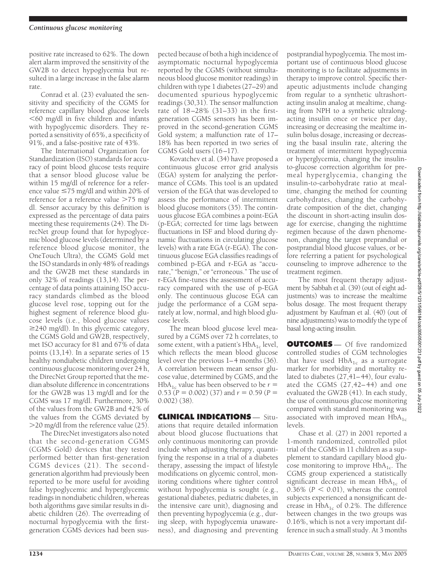positive rate increased to 62%. The down alert alarm improved the sensitivity of the GW2B to detect hypoglycemia but resulted in a large increase in the false alarm rate.

Conrad et al. (23) evaluated the sensitivity and specificity of the CGMS for reference capillary blood glucose levels -60 mg/dl in five children and infants with hypoglycemic disorders. They reported a sensitivity of 65%, a specificity of 91%, and a false-positive rate of 43%.

The International Organization for Standardization (ISO) standards for accuracy of point blood glucose tests require that a sensor blood glucose value be within 15 mg/dl of reference for a reference value  $\leq$ 75 mg/dl and within 20% of reference for a reference value  $>75$  mg/ dl. Sensor accuracy by this definition is expressed as the percentage of data pairs meeting these requirements (24). The DirecNet group found that for hypoglycemic blood glucose levels (determined by a reference blood glucose monitor, the OneTouch Ultra), the CGMS Gold met the ISO standards in only 48% of readings and the GW2B met these standards in only 32% of readings (13,14). The percentage of data points attaining ISO accuracy standards climbed as the blood glucose level rose, topping out for the highest segment of reference blood glucose levels (i.e., blood glucose values ≥240 mg/dl). In this glycemic category, the CGMS Gold and GW2B, respectively, met ISO accuracy for 81 and 67% of data points (13,14). In a separate series of 15 healthy nondiabetic children undergoing continuous glucose monitoring over 24 h, the DirecNet Group reported that the median absolute difference in concentrations for the GW2B was 13 mg/dl and for the CGMS was 17 mg/dl. Furthermore, 30% of the values from the GW2B and 42% of the values from the CGMS deviated by 20 mg/dl from the reference value (25).

The DirecNet investigators also noted that the second-generation CGMS (CGMS Gold) devices that they tested performed better than first-generation CGMS devices (21). The secondgeneration algorithm had previously been reported to be more useful for avoiding false hypoglycemic and hyperglycemic readings in nondiabetic children, whereas both algorithms gave similar results in diabetic children (26). The overreading of nocturnal hypoglycemia with the firstgeneration CGMS devices had been sus-

pected because of both a high incidence of asymptomatic nocturnal hypoglycemia reported by the CGMS (without simultaneous blood glucose monitor readings) in children with type 1 diabetes (27–29) and documented spurious hypoglycemic readings (30,31). The sensor malfunction rate of 18–28% (31–33) in the firstgeneration CGMS sensors has been improved in the second-generation CGMS Gold system; a malfunction rate of 17– 18% has been reported in two series of CGMS Gold users (16–17).

Kovatchev et al. (34) have proposed a continuous glucose error grid analysis (EGA) system for analyzing the performance of CGMs. This tool is an updated version of the EGA that was developed to assess the performance of intermittent blood glucose monitors (35). The continuous glucose EGA combines a point-EGA (p-EGA; corrected for time lags between fluctuations in ISF and blood during dynamic fluctuations in circulating glucose levels) with a rate EGA (r-EGA). The continuous glucose EGA classifies readings of combined p-EGA and r-EGA as "accurate," "benign," or "erroneous." The use of r-EGA fine-tunes the assessment of accuracy compared with the use of p-EGA only. The continuous glucose EGA can judge the performance of a CGM separately at low, normal, and high blood glucose levels.

The mean blood glucose level measured by a CGMS over 72 h correlates, to some extent, with a patient's  $HbA_{1c}$  level, which reflects the mean blood glucose level over the previous 1–4 months (36). A correlation between mean sensor glucose value, determined by CGMS, and the HbA<sub>1c</sub> value has been observed to be  $r =$  $0.53 (P = 0.002) (37)$  and  $r = 0.59 (P =$ 0.002) (38).

**CLINICAL INDICATIONS** — Situations that require detailed information about blood glucose fluctuations that only continuous monitoring can provide include when adjusting therapy, quantifying the response in a trial of a diabetes therapy, assessing the impact of lifestyle modifications on glycemic control, monitoring conditions where tighter control without hypoglycemia is sought (e.g., gestational diabetes, pediatric diabetes, in the intensive care unit), diagnosing and then preventing hypoglycemia (e.g., during sleep, with hypoglycemia unawareness), and diagnosing and preventing postprandial hypoglycemia. The most important use of continuous blood glucose monitoring is to facilitate adjustments in therapy to improve control. Specific therapeutic adjustments include changing from regular to a synthetic ultrashortacting insulin analog at mealtime, changing from NPH to a synthetic ultralongacting insulin once or twice per day, increasing or decreasing the mealtime insulin bolus dosage, increasing or decreasing the basal insulin rate, altering the treatment of intermittent hypoglycemia or hyperglycemia, changing the insulinto-glucose correction algorithm for premeal hyperglycemia, changing the insulin-to-carbohydrate ratio at mealtime, changing the method for counting carbohydrates, changing the carbohydrate composition of the diet, changing the discount in short-acting insulin dosage for exercise, changing the nighttime regimen because of the dawn phenomenon, changing the target preprandial or postprandial blood glucose values, or before referring a patient for psychological counseling to improve adherence to the treatment regimen.

The most frequent therapy adjustment by Sabbah et al. (39) (out of eight adjustments) was to increase the mealtime bolus dosage. The most frequent therapy adjustment by Kaufman et al. (40) (out of nine adjustments) was to modify the type of basal long-acting insulin.

**OUTCOMES** — Of five randomized controlled studies of CGM technologies that have used  $HbA_{1c}$  as a surrogate marker for morbidity and mortality related to diabetes (27,41–44), four evaluated the CGMS (27,42–44) and one evaluated the GW2B (41). In each study, the use of continuous glucose monitoring compared with standard monitoring was associated with improved mean  $HbA_{1c}$ levels.

Chase et al. (27) in 2001 reported a 1-month randomized, controlled pilot trial of the CGMS in 11 children as a supplement to standard capillary blood glucose monitoring to improve  $HbA_{1c}$ . The CGMS group experienced a statistically significant decrease in mean  $HbA_{1c}$  of  $0.36\%$  ( $P < 0.01$ ), whereas the control subjects experienced a nonsignificant decrease in  $HbA_{1c}$  of 0.2%. The difference between changes in the two groups was 0.16%, which is not a very important difference in such a small study. At 3 months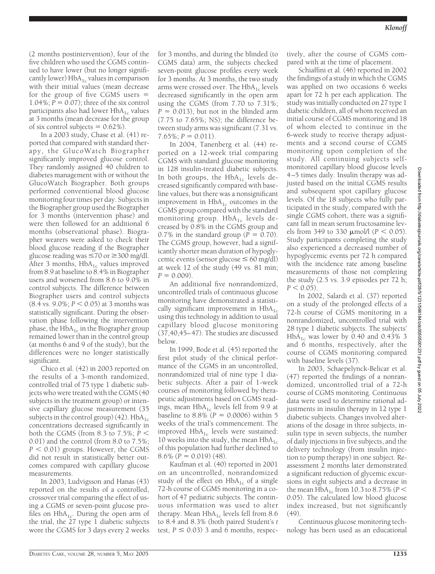(2 months postintervention), four of the five children who used the CGMS continued to have lower (but no longer significantly lower)  $HbA_{1c}$  values in comparison with their initial values (mean decrease for the group of five CGMS users  $=$ 1.04%;  $P = 0.07$ ); three of the six control participants also had lower  $HbA_{1c}$  values at 3 months (mean decrease for the group of six control subjects  $= 0.62\%$ ).

In a 2003 study, Chase et al. (41) reported that compared with standard therapy, the GlucoWatch Biographer significantly improved glucose control. They randomly assigned 40 children to diabetes management with or without the GlucoWatch Biographer. Both groups performed conventional blood glucose monitoring four times per day. Subjects in the Biographer group used the Biographer for 3 months (intervention phase) and were then followed for an additional 6 months (observational phase). Biographer wearers were asked to check their blood glucose reading if the Biographer glucose reading was  $\leq 70$  or  $\geq 300$  mg/dl. After 3 months,  $HbA_{1c}$  values improved from 8.9 at baseline to 8.4% in Biographer users and worsened from 8.6 to 9.0% in control subjects. The difference between Biographer users and control subjects  $(8.4 \text{ vs. } 9.0\%; P < 0.05)$  at 3 months was statistically significant. During the observation phase following the intervention phase, the  $HbA_{1c}$  in the Biographer group remained lower than in the control group (at months 6 and 9 of the study), but the differences were no longer statistically significant.

Chico et al. (42) in 2003 reported on the results of a 3-month randomized, controlled trial of 75 type 1 diabetic subjects who were treated with the CGMS (40 subjects in the treatment group) or intensive capillary glucose measurement (35 subjects in the control group) (42).  $HbA_{1c}$ concentrations decreased significantly in both the CGMS (from 8.3 to 7.5%;  $P <$ 0.01) and the control (from 8.0 to 7.5%;  $P < 0.01$ ) groups. However, the CGMS did not result in statistically better outcomes compared with capillary glucose measurements.

In 2003, Ludvigsson and Hanas (43) reported on the results of a controlled, crossover trial comparing the effect of using a CGMS or seven-point glucose profiles on  $HbA_{1c}$ . During the open arm of the trial, the 27 type 1 diabetic subjects wore the CGMS for 3 days every 2 weeks

for 3 months, and during the blinded (to CGMS data) arm, the subjects checked seven-point glucose profiles every week for 3 months. At 3 months, the two study arms were crossed over. The  $HbA_{1c}$  levels decreased significantly in the open arm using the CGMS (from 7.70 to 7.31%;  $P = 0.013$ , but not in the blinded arm (7.75 to 7.65%; NS); the difference between study arms was significant (7.31 vs.  $7.65\%; P = 0.011$ ).

In 2004, Tanenberg et al. (44) reported on a 12-week trial comparing CGMS with standard glucose monitoring in 128 insulin-treated diabetic subjects. In both groups, the  $HbA_{1c}$  levels decreased significantly compared with baseline values, but there was a nonsignificant improvement in  $HbA_{1c}$  outcomes in the CGMS group compared with the standard monitoring group.  $HbA_{1c}$  levels decreased by 0.8% in the CGMS group and 0.7% in the standard group ( $P = 0.70$ ). The CGMS group, however, had a significantly shorter mean duration of hypoglycemic events (sensor glucose  $\leq 60$  mg/dl) at week 12 of the study (49 vs. 81 min;  $P = 0.009$ .

An additional five nonrandomized, uncontrolled trials of continuous glucose monitoring have demonstrated a statistically significant improvement in  $HbA_{1c}$ using this technology in addition to usual capillary blood glucose monitoring (37,40,45–47). The studies are discussed below.

In 1999, Bode et al. (45) reported the first pilot study of the clinical performance of the CGMS in an uncontrolled, nonrandomized trial of nine type 1 diabetic subjects. After a pair of 1-week courses of monitoring followed by therapeutic adjustments based on CGMS readings, mean  $HbA_{1c}$  levels fell from 9.9 at baseline to  $8.8\%$  ( $P = 0.0006$ ) within 5 weeks of the trial's commencement. The improved  $HbA_{1c}$  levels were sustained: 10 weeks into the study, the mean  $HbA_{1c}$ of this population had further declined to  $8.6\%$  ( $P = 0.019$ ) (48).

Kaufman et al. (40) reported in 2001 on an uncontrolled, nonrandomized study of the effect on  $HbA_{1c}$  of a single 72-h course of CGMS monitoring in a cohort of 47 pediatric subjects. The continuous information was used to alter therapy. Mean  $HbA_{1c}$  levels fell from 8.6 to 8.4 and 8.3% (both paired Student's *t* test,  $P \leq 0.03$ ) 3 and 6 months, respectively, after the course of CGMS compared with at the time of placement.

Schiaffini et al. (46) reported in 2002 the findings of a study in which the CGMS was applied on two occasions 6 weeks apart for 72 h per each application. The study was initially conducted on 27 type 1 diabetic children, all of whom received an initial course of CGMS monitoring and 18 of whom elected to continue in the 6-week study to receive therapy adjustments and a second course of CGMS monitoring upon completion of the study. All continuing subjects selfmonitored capillary blood glucose levels 4–5 times daily. Insulin therapy was adjusted based on the initial CGMS results and subsequent spot capillary glucose levels. Of the 18 subjects who fully participated in the study, compared with the single CGMS cohort, there was a significant fall in mean serum fructosamine levels from 349 to 330  $\mu$ mol/l (*P* < 0.05). Study participants completing the study also experienced a decreased number of hypoglycemic events per 72 h compared with the incidence rate among baseline measurements of those not completing the study (2.5 vs. 3.9 episodes per 72 h;  $P < 0.05$ ).

In 2002, Salardi et al. (37) reported on a study of the prolonged effects of a 72-h course of CGMS monitoring in a nonrandomized, uncontrolled trial with 28 type 1 diabetic subjects. The subjects'  $HbA_{1c}$  was lower by 0.40 and 0.43% 3 and 6 months, respectively, after the course of CGMS monitoring compared with baseline levels (37).

In 2003, Schaepelynck-Belicar et al. (47) reported the findings of a nonrandomized, uncontrolled trial of a 72-h course of CGMS monitoring. Continuous data were used to determine rational adjustments in insulin therapy in 12 type 1 diabetic subjects. Changes involved alterations of the dosage in three subjects, insulin type in seven subjects, the number of daily injections in five subjects, and the delivery technology (from insulin injection to pump therapy) in one subject. Reassessment 2 months later demonstrated a significant reduction of glycemic excursions in eight subjects and a decrease in the mean  $HbA_{1c}$  from 10.3 to 8.75% (*P*  $\lt$ 0.05). The calculated low blood glucose index increased, but not significantly (49).

Continuous glucose monitoring technology has been used as an educational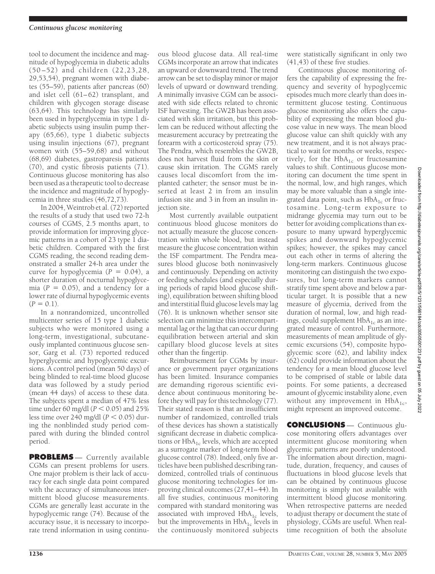tool to document the incidence and magnitude of hypoglycemia in diabetic adults (50–52) and children (22,23,28, 29,53,54), pregnant women with diabetes (55–59), patients after pancreas (60) and islet cell (61–62) transplant, and children with glycogen storage disease (63,64). This technology has similarly been used in hyperglycemia in type 1 diabetic subjects using insulin pump therapy (65,66), type 1 diabetic subjects using insulin injections (67), pregnant women with (55–59,68) and without (68,69) diabetes, gastroparesis patients (70), and cystic fibrosis patients (71). Continuous glucose monitoring has also been used as a therapeutic tool to decrease the incidence and magnitude of hypoglycemia in three studies (46,72,73).

In 2004, Weintrob et al. (72) reported the results of a study that used two 72-h courses of CGMS, 2.5 months apart, to provide information for improving glycemic patterns in a cohort of 23 type 1 diabetic children. Compared with the first CGMS reading, the second reading demonstrated a smaller 24-h area under the curve for hypoglycemia  $(P = 0.04)$ , a shorter duration of nocturnal hypoglycemia  $(P = 0.05)$ , and a tendency for a lower rate of diurnal hypoglycemic events  $(P = 0.1)$ .

In a nonrandomized, uncontrolled multicenter series of 15 type 1 diabetic subjects who were monitored using a long-term, investigational, subcutaneously implanted continuous glucose sensor, Garg et al. (73) reported reduced hyperglycemic and hypoglycemic excursions. A control period (mean 50 days) of being blinded to real-time blood glucose data was followed by a study period (mean 44 days) of access to these data. The subjects spent a median of 47% less time under  $60 \text{ mg/dl}$  ( $P < 0.05$ ) and  $25\%$ less time over  $240$  mg/dl ( $P < 0.05$ ) during the nonblinded study period compared with during the blinded control period.

**PROBLEMS** — Currently available CGMs can present problems for users. One major problem is their lack of accuracy for each single data point compared with the accuracy of simultaneous intermittent blood glucose measurements. CGMs are generally least accurate in the hypoglycemic range (74). Because of the accuracy issue, it is necessary to incorporate trend information in using continu-

ous blood glucose data. All real-time CGMs incorporate an arrow that indicates an upward or downward trend. The trend arrow can be set to display minor or major levels of upward or downward trending. A minimally invasive CGM can be associated with side effects related to chronic ISF harvesting. The GW2B has been associated with skin irritation, but this problem can be reduced without affecting the measurement accuracy by pretreating the forearm with a corticosteroid spray (75). The Pendra, which resembles the GW2B, does not harvest fluid from the skin or cause skin irritation. The CGMS rarely causes local discomfort from the implanted catheter; the sensor must be inserted at least 2 in from an insulin infusion site and 3 in from an insulin injection site.

Most currently available outpatient continuous blood glucose monitors do not actually measure the glucose concentration within whole blood, but instead measure the glucose concentration within the ISF compartment. The Pendra measures blood glucose both noninvasively and continuously. Depending on activity or feeding schedules (and especially during periods of rapid blood glucose shifting), equilibration between shifting blood and interstitial fluid glucose levels may lag (76). It is unknown whether sensor site selection can minimize this intercompartmental lag or the lag that can occur during equilibration between arterial and skin capillary blood glucose levels at sites other than the fingertip.

Reimbursement for CGMs by insurance or government payer organizations has been limited. Insurance companies are demanding rigorous scientific evidence about continuous monitoring before they will pay for this technology (77). Their stated reason is that an insufficient number of randomized, controlled trials of these devices has shown a statistically significant decrease in diabetic complications or  $HbA_{1c}$  levels, which are accepted as a surrogate marker of long-term blood glucose control (78). Indeed, only five articles have been published describing randomized, controlled trials of continuous glucose monitoring technologies for improving clinical outcomes (27,41–44). In all five studies, continuous monitoring compared with standard monitoring was associated with improved  $HbA_{1c}$  levels, but the improvements in  $HbA_{1c}$  levels in the continuously monitored subjects

were statistically significant in only two (41,43) of these five studies.

Continuous glucose monitoring offers the capability of expressing the frequency and severity of hypoglycemic episodes much more clearly than does intermittent glucose testing. Continuous glucose monitoring also offers the capability of expressing the mean blood glucose value in new ways. The mean blood glucose value can shift quickly with any new treatment, and it is not always practical to wait for months or weeks, respectively, for the  $HbA_{1c}$  or fructosamine values to shift. Continuous glucose monitoring can document the time spent in the normal, low, and high ranges, which may be more valuable than a single integrated data point, such as  $HbA_{1c}$  or fructosamine. Long-term exposure to midrange glycemia may turn out to be better for avoiding complications than exposure to many upward hyperglycemic spikes and downward hypoglycemic spikes; however, the spikes may cancel out each other in terms of altering the long-term markers. Continuous glucose monitoring can distinguish the two exposures, but long-term markers cannot stratify time spent above and below a particular target. It is possible that a new measure of glycemia, derived from the duration of normal, low, and high readings, could supplement  $HbA_{1c}$  as an integrated measure of control. Furthermore, measurements of mean amplitude of glycemic excursions (54), composite hypoglycemic score (62), and lability index (62) could provide information about the tendency for a mean blood glucose level to be comprised of stable or labile data points. For some patients, a decreased amount of glycemic instability alone, even without any improvement in  $HbA_{1c}$ , might represent an improved outcome.

**CONCLUSIONS** — Continuous glucose monitoring offers advantages over intermittent glucose monitoring when glycemic patterns are poorly understood. The information about direction, magnitude, duration, frequency, and causes of fluctuations in blood glucose levels that can be obtained by continuous glucose monitoring is simply not available with intermittent blood glucose monitoring. When retrospective patterns are needed to adjust therapy or document the state of physiology, CGMs are useful. When realtime recognition of both the absolute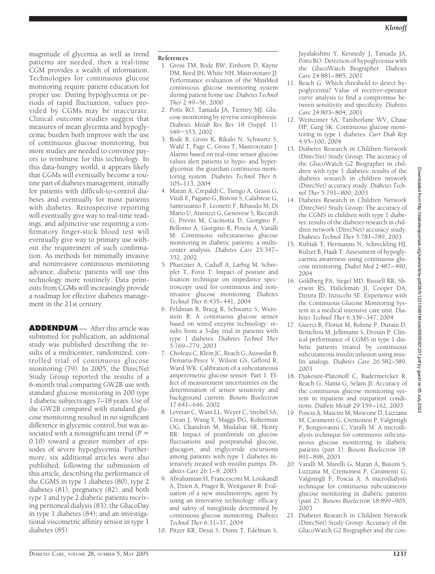magnitude of glycemia as well as trend patterns are needed, then a real-time CGM provides a wealth of information. Technologies for continuous glucose monitoring require patient education for proper use. During hypoglycemia or periods of rapid fluctuation, values provided by CGMs may be inaccurate. Clinical outcome studies suggest that measures of mean glycemia and hypoglycemic burden both improve with the use of continuous glucose monitoring, but more studies are needed to convince payors to reimburse for this technology. In this data-hungry world, it appears likely that CGMs will eventually become a routine part of diabetes management, initially for patients with difficult-to-control diabetes and eventually for most patients with diabetes. Retrospective reporting will eventually give way to real-time readings, and adjunctive use requiring a confirmatory finger-stick blood test will eventually give way to primary use without the requirement of such confirmation. As methods for minimally invasive and noninvasive continuous monitoring advance, diabetic patients will use this technology more routinely. Data printouts from CGMs will increasingly provide a roadmap for effective diabetes management in the 21st century.

**ADDENDUM** — After this article was submitted for publication, an additional study was published describing the results of a multicenter, randomized, controlled trial of continuous glucose monitoring (79). In 2005, the DirecNet Study Group reported the results of a 6-month trial comparing GW2B use with standard glucose monitoring in 200 type 1 diabetic subjects ages 7–18 years. Use of the GW2B compared with standard glucose monitoring resulted in no significant difference in glycemic control, but was associated with a nonsignificant trend (*P* 0.10) toward a greater number of episodes of severe hypoglycemia. Furthermore, six additional articles were also published, following the submission of this article, describing the performance of the CGMS in type 1 diabetes (80), type 2 diabetes (81), pregnancy (82), and both type 1 and type 2 diabetic patients receiving peritoneal dialysis (83); the GlucoDay in type 1 diabetes (84); and an investigational viscometric affinity sensor in type 1 diabetes (85).

## **References**

- 1. Gross TM, Bode BW, Einhorn D, Kayne DM, Reed JH, White NH, Mastrototaro JJ: Performance evaluation of the MiniMed continuous glucose monitoring system during patient home use. *Diabetes Technol Ther* 2:49–56, 2000
- 2. Potts RO, Tamada JA, Tierney MJ: Glucose monitoring by reverse iontophoresis. *Diabetes Metab Res Rev* 18 (Suppl. 1): S49-S53, 2002
- 3. Bode B, Gross K, Rikalo N, Schwartz S, Wahl T, Page C, Gross T, Mastrototaro J: Alarms based on real-time sensor glucose values alert patients to hypo- and hyperglycemia: the guardian continuous monitoring system. *Diabetes Technol Ther* 6: 105–113, 2004
- 4. Maran A, Crepaldi C, Tiengo A, Grassi G, Vitali E, Pagano G, Bistoni S, Calabrese G, Santeusanio F, Leonetti F, Ribaudo M, Di Mario U, Annuzzi G, Genovese S, Riccardi G, Previti M, Cucinotta D, Giorgino F, Bellomo A, Giorgino R, Poscia A, Varalli M: Continuous subcutaneous glucose monitoring in diabetic patients: a multicenter analysis. *Diabetes Care* 25:347– 352, 2002
- 5. Pfuetzner A, Caduff A, Larbig M, Schrepfer T, Forst T: Impact of posture and fixation technique on impedance spectroscopy used for continuous and noninvasive glucose monitoring. *Diabetes Technol Ther* 6:435–441, 2004
- 6. Feldman B, Brazg R, Schwartz S, Weinstein R: A continuous glucose sensor based on wired enzyme technology: results from a 3-day trial in patients with type 1 diabetes. *Diabetes Technol Ther* 5:769–779, 2003
- 7. Choleau C, Klein JC, Reach G, Aussedat B, Demaria-Pesce V, Wilson GS, Gifford R, Ward WK: Calibration of a subcutaneous amperometric glucose sensor. Part 1. Effect of measurement uncertainties on the determination of sensor sensitivity and background current. *Biosens Bioelectron* 17:641–646, 2002
- 8. Levetan C, Want LL, Weyer C, Strobel SA, Crean J, Wang Y, Maggs DG, Kolterman OG, Chandran M, Mudaliar SR, Henry RR: Impact of pramlintide on glucose fluctuations and postprandial glucose, glucagon, and triglyceride excursions among patients with type 1 diabetes intensively treated with insulin pumps. *Diabetes Care* 26:1–8, 2003
- 9. Abrahamian H, Francesconi M, Loiskandl A, Dzien A, Prager R, Weitgasser R: Evaluation of a new insulinotropic agent by using an innovative technology: efficacy and safety of nateglinide determined by continuous glucose monitoring. *Diabetes Technol Ther* 6:31–37, 2004
- 10. Pitzer KR, Desai S, Dunn T, Edelman S,

Jayalakshmi Y, Kennedy J, Tamada JA, Potts RO: Detection of hypoglycemia with the GlucoWatch Biographer. *Diabetes Care* 24:881–885, 2001

- 11. Reach G: Which threshold to detect hypoglycemia? Value of receiver-operator curve analysis to find a compromise between sensitivity and specificity. *Diabetes Care* 24:803–804, 2001
- 12. Weinzimer SA, Tamborlane WV, Chase HP, Garg SK: Continuous glucose monitoring in type 1 diabetes. *Curr Diab Rep* 4:95–100, 2004
- 13. Diabetes Research in Children Network (DirecNet) Study Group: The accuracy of the GlucoWatch G2 Biographer in children with type 1 diabetes: results of the diabetes research in children network (DirecNet) accuracy study. *Diabetes Technol Ther* 5:791–800, 2003
- 14. Diabetes Research in Children Network (DirecNet) Study Group: The accuracy of the CGMS in children with type 1 diabetes: results of the diabetes research in children network (DirecNet) accuracy study. *Diabetes Technol Ther* 5:781–789, 2003
- 15. Kubiak T, Hermanns N, Schreckling HJ, Kulzer B, Haak T: Assessment of hypoglycaemia awareness using continuous glucose monitoring. *Diabet Med* 2:487–490, 2004
- 16. Goldberg PA, Siegel MD, Russell RR, Sherwin RS, Halickman JI, Cooper DA, Dziura JD, Inzucchi SE: Experience with the Continuous Glucose Monitoring System in a medical intensive care unit. *Diabetes Technol Ther* 6:339–347, 2004
- 17. Guerci B, Floriot M, Bohme P, Durain D, Benichou M, Jellimann S, Drouin P: Clinical performance of CGMS in type 1 diabetic patients treated by continuous subcutaneous insulin infusion using insulin analogs. *Diabetes Care* 26:582–589, 2003
- 18. Djakoure-Platonoff C, Radermercker R, Reach G, Slama G, Selam JI: Accuracy of the continuous glucose monitoring system in inpatient and outpatient conditions. *Diabete Metab* 29:159–162, 2003
- 19. Poscia A, Mascini M, Moscone D, Luzzana M, Caramenti G, Cremonesi P, Valgimigli F, Bongiovanni C, Varalli M: A microdialysis technique for continuous subcutaneous glucose monitoring in diabetic patients (part 1). *Biosens Bioelectron* 18: 891–898, 2003
- 20. Varalli M, Marelli G, Maran A, Bistoni S, Luzzana M, Cremonesi P, Caramenti G, Valgimigli F, Poscia A: A microdialysis technique for continuous subcutaneous glucose monitoring in diabetic patients (part 2). *Biosens Bioelectron* 18:899–905, 2003
- 21. Diabetes Research in Children Network (DirecNet) Study Group: Accuracy of the GlucoWatch G2 Biographer and the con-

Downloaded from http://diabetesjournals.org/care/article-pdf/28/5/1231/566184/zdc00505001231.pdf by guest on 05 July 2022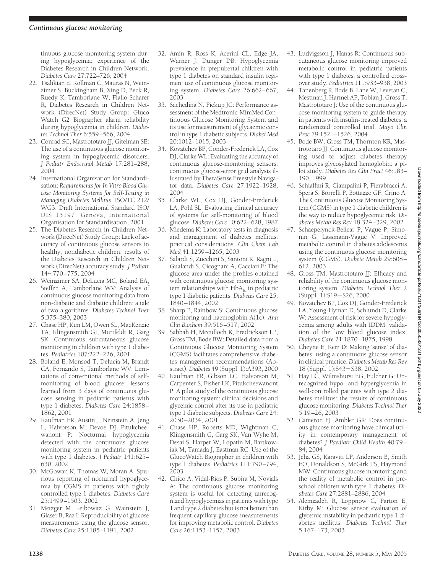tinuous glucose monitoring system during hypoglycemia: experience of the Diabetes Research in Children Network. *Diabetes Care* 27:722–726, 2004

- 22. Tsalikian E, Kollman C, Mauras N, Weinzimer S, Buckingham B, Xing D, Beck R, Ruedy K, Tamborlane W, Fiallo-Scharer R, Diabetes Research in Children Network (DirecNet) Study Group: Gluco Watch G2 Biographer alarm reliability during hypoglycemia in children. *Diabetes Technol Ther* 6:559–566, 2004
- 23. Conrad SC, Mastrototaro JJ, Gitelman SE: The use of a continuous glucose monitoring system in hypoglycemic disorders. *J Pediatr Endocrinol Metab* 17:281–288, 2004
- 24. International Organisation for Standardisation: *Requirements for In Vitro Blood Glucose Monitoring Systems for Self-Testing in Managing Diabetes Mellitus*. ISO/TC 212/ WG3. Draft International Standard ISO/ DIS 15197. Geneva, International Organisation for Standardisation, 2001
- 25. The Diabetes Research in Children Network (DirecNet) Study Group: Lack of accuracy of continuous glucose sensors in healthy, nondiabetic children: results of the Diabetes Research in Children Network (DirecNet) accuracy study. *J Pediatr* 144:770–775, 2004
- 26. Weinzimer SA, DeLucia MC, Boland EA, Steffen A, Tamborlane WV: Analysis of continuous glucose monitoring data from non-diabetic and diabetic children: a tale of two algorithms. *Diabetes Technol Ther* 5:375–380, 2003
- 27. Chase HP, Kim LM, Owen SL, MacKenzie TA, Klingensmith GJ, Murtfeldt R, Garg SK: Continuous subcutaneous glucose monitoring in children with type 1 diabetes. *Pediatrics* 107:222–226, 2001
- 28. Boland E, Monsod T, Delucia M, Brandt CA, Fernando S, Tamborlane WV: Limitations of conventional methods of selfmonitoring of blood glucose: lessons learned from 3 days of continuous glucose sensing in pediatric patients with type 1 diabetes. *Diabetes Care* 24:1858– 1862, 2001
- 29. Kaufman FR, Austin J, Neinstein A, Jeng L, Halvorson M, Devoe DJ, Pitukcheewanont P: Nocturnal hypoglycemia detected with the continuous glucose monitoring system in pediatric patients with type 1 diabetes. *J Pediatr* 141:625– 630, 2002
- 30. McGowan K, Thomas W, Moran A: Spurious reporting of nocturnal hypoglycemia by CGMS in patients with tightly controlled type 1 diabetes. *Diabetes Care* 25:1499–1503, 2002
- 31. Metzger M, Leibowitz G, Wainstein J, Glaser B, Raz I: Reproducibility of glucose measurements using the glucose sensor. *Diabetes Care* 25:1185–1191, 2002
- 32. Amin R, Ross K, Acerini CL, Edge JA, Warner J, Dunger DB: Hypoglycemia prevalence in prepubertal children with type 1 diabetes on standard insulin regimen: use of continuous glucose monitoring system. *Diabetes Care* 26:662–667, 2003
- 33. Sachedina N, Pickup JC: Performance assessment of the Medtronic-MiniMed Continuous Glucose Monitoring System and its use for measurement of glycaemic control in type 1 diabetic subjects. *Diabet Med* 20:1012–1015, 2003
- 34. Kovatchev BP, Gonder-Frederick LA, Cox DJ, Clarke WL: Evaluating the accuracy of continuous glucose-monitoring sensors: continuous glucose-error grid analysis illustrated by TheraSense Freestyle Navigator data. *Diabetes Care* 27:1922–1928, 2004
- 35. Clarke WL, Cox DJ, Gonder-Frederick LA, Pohl SL: Evaluating clinical accuracy of systems for self-monitoring of blood glucose. *Diabetes Care* 10:622–628, 1987
- 36. Miedema K: Laboratory tests in diagnosis and management of diabetes mellitus: practical considerations. *Clin Chem Lab Med* 41:1259–1265, 2003
- 37. Salardi S, Zucchini S, Santoni R, Ragni L, Gualandi S, Cicognani A, Cacciari E: The glucose area under the profiles obtained with continuous glucose monitoring system relationships with  $HbA<sub>1c</sub>$  in pediatric type 1 diabetic patients. *Diabetes Care* 25: 1840–1844, 2002
- 38. Sharp P, Rainbow S: Continuous glucose monitoring and haemoglobin A(1c). *Ann Clin Biochem* 39:516–517, 2002
- 39. Sabbah H, Mcculloch K, Fredrickson LP, Gross TM, Bode BW: Detailed data from a Continuous Glucose Monitoring System (CGMS) facilitates comprehensive diabetes management recommendations (Abstract).*Diabetes* 49 (Suppl. 1):A393, 2000
- 40. Kaufman FR, Gibson LC, Halvorson M, Carpenter S, Fisher LK, Pitukcheewanont P: A pilot study of the continuous glucose monitoring system: clinical decisions and glycemic control after its use in pediatric type 1 diabetic subjects. *Diabetes Care* 24: 2030–2034, 2001
- 41. Chase HP, Roberts MD, Wightman C, Klingensmith G, Garg SK, Van Wyhe M, Desai S, Harper W, Lopatin M, Bartkowiak M, Tamada J, Eastman RC: Use of the GlucoWatch Biographer in children with type 1 diabetes. *Pediatrics* 111:790–794, 2003
- 42. Chico A, Vidal-Rios P, Subira M, Novials A: The continuous glucose monitoring system is useful for detecting unrecognized hypoglycemias in patients with type 1 and type 2 diabetes but is not better than frequent capillary glucose measurements for improving metabolic control. *Diabetes Care* 26:1153–1157, 2003
- 43. Ludvigsson J, Hanas R: Continuous subcutaneous glucose monitoring improved metabolic control in pediatric patients with type 1 diabetes: a controlled crossover study. *Pediatrics* 111:933–938, 2003
- 44. Tanenberg R, Bode B, Lane W, Levetan C, Mestman J, Harmel AP, Tobian J, Gross T, Mastrototaro J: Use of the continuous glucose monitoring system to guide therapy in patients with insulin-treated diabetes: a randomized controlled trial. *Mayo Clin Proc* 79:1521–1526, 2004
- 45. Bode BW, Gross TM, Thornton KR, Mastrototaro JJ: Continuous glucose monitoring used to adjust diabetes therapy improves glycosylated hemoglobin: a pilot study. *Diabetes Res Clin Pract* 46:183– 190, 1999
- 46. Schiaffini R, Ciampalini P, Fierabracci A, Spera S, Borrelli P, Bottazzo GF, Crino A: The Continuous Glucose Monitoring System (CGMS) in type 1 diabetic children is the way to reduce hypoglycemic risk. *Diabetes Metab Res Rev* 18:324–329, 2002
- 47. Schaepelynck-Belicar P, Vague P, Simonin G, Lassmann-Vague V: Improved metabolic control in diabetes adolescents using the continuous glucose monitoring system (CGMS). *Diabete Metab* 29:608– 612, 2003
- 48. Gross TM, Mastrototaro II: Efficacy and reliability of the continuous glucose monitoring system. *Diabetes Technol Ther* 2 (Suppl. 1):S19-S26, 2000
- 49. Kovatchev BP, Cox DJ, Gonder-Frederick LA, Young-Hyman D, Schlundt D, Clarke W: Assessment of risk for severe hypoglycemia among adults with IDDM: validation of the low blood glucose index. *Diabetes Care* 21:1870–1875, 1998
- 50. Cheyne E, Kerr D: Making 'sense' of diabetes: using a continuous glucose sensor in clinical practice. *Diabetes Metab Res Rev* 18 (Suppl. 1): S43 - S38, 2002
- 51. Hay LC, Wilmshurst EG, Fulcher G: Unrecognized hypo- and hyperglycemia in well-controlled patients with type 2 diabetes mellitus: the results of continuous glucose monitoring. *Diabetes Technol Ther* 5:19–26, 2003
- 52. Cameron FJ, Ambler GR: Does continuous glucose monitoring have clinical utility in contemporary management of diabetes? *J Paediatr Child Health* 40:79– 84, 2004
- 53. Jeha GS, Karaviti LP, Anderson B, Smith EO, Donaldson S, McGirk TS, Haymond MW: Continuous glucose monitoring and the reality of metabolic control in preschool children with type 1 diabetes. *Diabetes Care* 27:2881–2886, 2004
- 54. Alemzadeh R, Loppnow C, Parton E, Kirby M: Glucose sensor evaluation of glycemic instability in pediatric type 1 diabetes mellitus. *Diabetes Technol Ther* 5:167–173, 2003